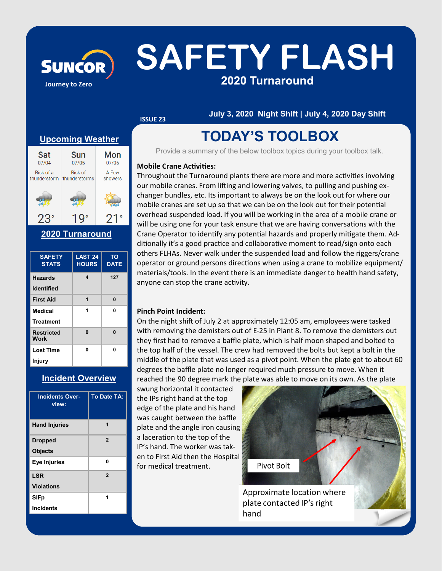# SUNCOR SAFETY FLASH **2020 Turnaround**

**ISSUE 23**

**July 3, 2020 Night Shift | July 4, 2020 Day Shift**

#### **Upcoming Weather**

**Journey to Zero**

| Sat          | Sun           | Mon     |
|--------------|---------------|---------|
| 07/04        | 07/05         | 07/06   |
| Risk of a    | Risk of       | A Few   |
| thunderstorm | thunderstorms | showers |
|              |               |         |
|              |               |         |

**2020 Turnaround** 

| <b>SAFETY</b><br><b>STATS</b> | LAST <sub>24</sub><br><b>HOURS</b> | TO<br><b>DATE</b> |
|-------------------------------|------------------------------------|-------------------|
| <b>Hazards</b>                | 4                                  | 127               |
| <b>Identified</b>             |                                    |                   |
| <b>First Aid</b>              | 1                                  | 0                 |
| <b>Medical</b>                | 1                                  | 0                 |
| <b>Treatment</b>              |                                    |                   |
| <b>Restricted</b><br>Work     | 0                                  | $\bf{0}$          |
| <b>Lost Time</b>              | n                                  | n                 |
| <b>Injury</b>                 |                                    |                   |

#### **Incident Overview**

| <b>Incidents Over-</b><br>view: | <b>To Date TA:</b> |
|---------------------------------|--------------------|
| <b>Hand Injuries</b>            | 1                  |
| <b>Dropped</b>                  | $\overline{2}$     |
| <b>Objects</b>                  |                    |
| <b>Eye Injuries</b>             | 0                  |
| <b>LSR</b>                      | $\overline{2}$     |
| <b>Violations</b>               |                    |
| <b>SIFp</b>                     | 1                  |
| <b>Incidents</b>                |                    |

### **TODAY'S TOOLBOX**

Provide a summary of the below toolbox topics during your toolbox talk.

#### **Mobile Crane Activities:**

Throughout the Turnaround plants there are more and more activities involving our mobile cranes. From lifting and lowering valves, to pulling and pushing exchanger bundles, etc. Its important to always be on the look out for where our mobile cranes are set up so that we can be on the look out for their potential overhead suspended load. If you will be working in the area of a mobile crane or will be using one for your task ensure that we are having conversations with the Crane Operator to identify any potential hazards and properly mitigate them. Additionally it's a good practice and collaborative moment to read/sign onto each others FLHAs. Never walk under the suspended load and follow the riggers/crane operator or ground persons directions when using a crane to mobilize equipment/ materials/tools. In the event there is an immediate danger to health hand safety, anyone can stop the crane activity.

#### **Pinch Point Incident:**

On the night shift of July 2 at approximately 12:05 am, employees were tasked with removing the demisters out of E-25 in Plant 8. To remove the demisters out they first had to remove a baffle plate, which is half moon shaped and bolted to the top half of the vessel. The crew had removed the bolts but kept a bolt in the middle of the plate that was used as a pivot point. When the plate got to about 60 degrees the baffle plate no longer required much pressure to move. When it reached the 90 degree mark the plate was able to move on its own. As the plate

swung horizontal it contacted the IPs right hand at the top edge of the plate and his hand was caught between the baffle plate and the angle iron causing a laceration to the top of the IP's hand. The worker was taken to First Aid then the Hospital for medical treatment.



Approximate location where plate contacted IP's right hand